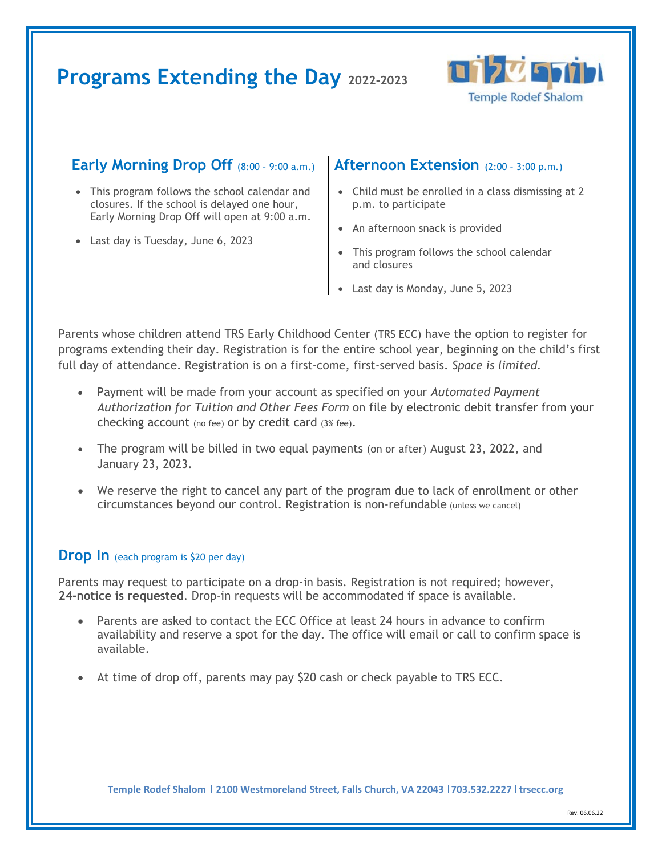# **Programs Extending the Day 2022-2023**



### **Early Morning Drop Off** (8:00 – 9:00 a.m.)

- This program follows the school calendar and closures. If the school is delayed one hour, Early Morning Drop Off will open at 9:00 a.m.
- Last day is Tuesday, June 6, 2023

#### **Afternoon Extension** (2:00 – 3:00 p.m.)

- Child must be enrolled in a class dismissing at 2 p.m. to participate
- An afternoon snack is provided
- This program follows the school calendar and closures
- Last day is Monday, June 5, 2023

Parents whose children attend TRS Early Childhood Center (TRS ECC) have the option to register for programs extending their day. Registration is for the entire school year, beginning on the child's first full day of attendance. Registration is on a first-come, first-served basis. *Space is limited.*

- Payment will be made from your account as specified on your *Automated Payment Authorization for Tuition and Other Fees Form* on file by electronic debit transfer from your checking account (no fee) or by credit card (3% fee).
- The program will be billed in two equal payments (on or after) August 23, 2022, and January 23, 2023.
- We reserve the right to cancel any part of the program due to lack of enrollment or other circumstances beyond our control. Registration is non-refundable (unless we cancel)

#### **Drop** In (each program is \$20 per day)

Parents may request to participate on a drop-in basis. Registration is not required; however, **24-notice is requested**. Drop-in requests will be accommodated if space is available.

- Parents are asked to contact the ECC Office at least 24 hours in advance to confirm availability and reserve a spot for the day. The office will email or call to confirm space is available.
- At time of drop off, parents may pay \$20 cash or check payable to TRS ECC.

Temple Rodef Shalom | 2100 Westmoreland Street, Falls Church, VA 22043 | 703.532.2227 | trsecc.org